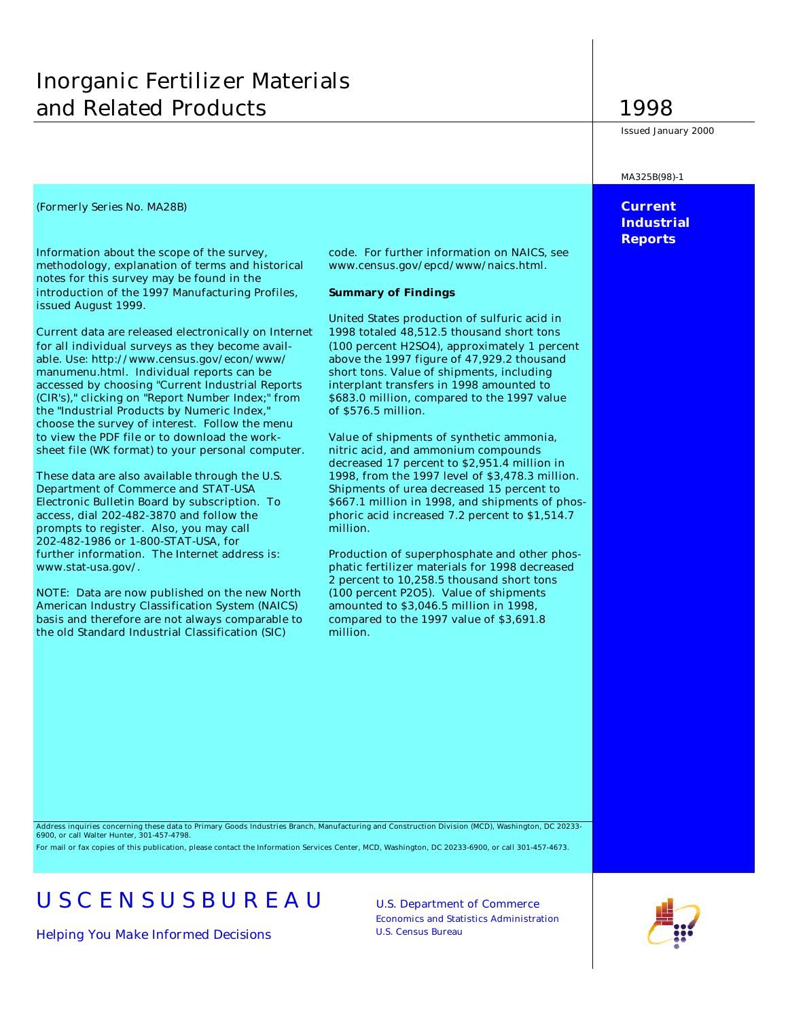# Inorganic Fertilizer Materials and Related Products 1998

Information about the scope of the survey, code. For further information on NAICS, see methodology, explanation of terms and historical www.census.gov/epcd/www/naics.html. notes for this survey may be found in the introduction of the 1997 Manufacturing Profiles, **Summary of Findings** issued August 1999.

Current data are released electronically on Internet 1998 totaled 48,512.5 thousand short tons for all individual surveys as they become avail- (100 percent H2SO4), approximately 1 percent able. Use: http://www.census.gov/econ/www/ above the 1997 figure of 47,929.2 thousand manumenu.html. Individual reports can be short tons. Value of shipments, including accessed by choosing "Current Industrial Reports interplant transfers in 1998 amounted to (CIR's)," clicking on "Report Number Index;" from \$683.0 million, compared to the 1997 value the "Industrial Products by Numeric Index," of \$576.5 million. choose the survey of interest. Follow the menu to view the PDF file or to download the work- Value of shipments of synthetic ammonia, sheet file (WK format) to your personal computer. nitric acid, and ammonium compounds

Department of Commerce and STAT-USA Shipments of urea decreased 15 percent to access, dial 202-482-3870 and follow the phoric acid increased 7.2 percent to \$1,514.7 prompts to register. Also, you may call million. 202-482-1986 or 1-800-STAT-USA, for further information. The Internet address is: Production of superphosphate and other phoswww.stat-usa.gov/. phatic fertilizer materials for 1998 decreased

NOTE: Data are now published on the new North (100 percent P2O5). Value of shipments American Industry Classification System (NAICS) amounted to \$3,046.5 million in 1998, basis and therefore are not always comparable to compared to the 1997 value of \$3,691.8 the old Standard Industrial Classification (SIC) million.

United States production of sulfuric acid in

decreased 17 percent to \$2,951.4 million in These data are also available through the U.S. 1998, from the 1997 level of \$3,478.3 million. Electronic Bulletin Board by subscription. To \$667.1 million in 1998, and shipments of phos-

2 percent to 10,258.5 thousand short tons

Issued January 2000

#### MA325B(98)-1

## *(Formerly Series No. MA28B)* **Current Industrial Reports**

Address inquiries concerning these data to Primary Goods Industries Branch, Manufacturing and Construction Division (MCD), Washington, DC 20233- 6900, or call Walter Hunter, 301-457-4798.

For mail or fax copies of this publication, please contact the Information Services Center, MCD, Washington, DC 20233-6900, or call 301-457-4673.

# USCENSUSBUREAU U.S. Department of Commerce

*Helping You Make Informed Decisions* U.S. Census Bureau

Economics and Statistics Administration

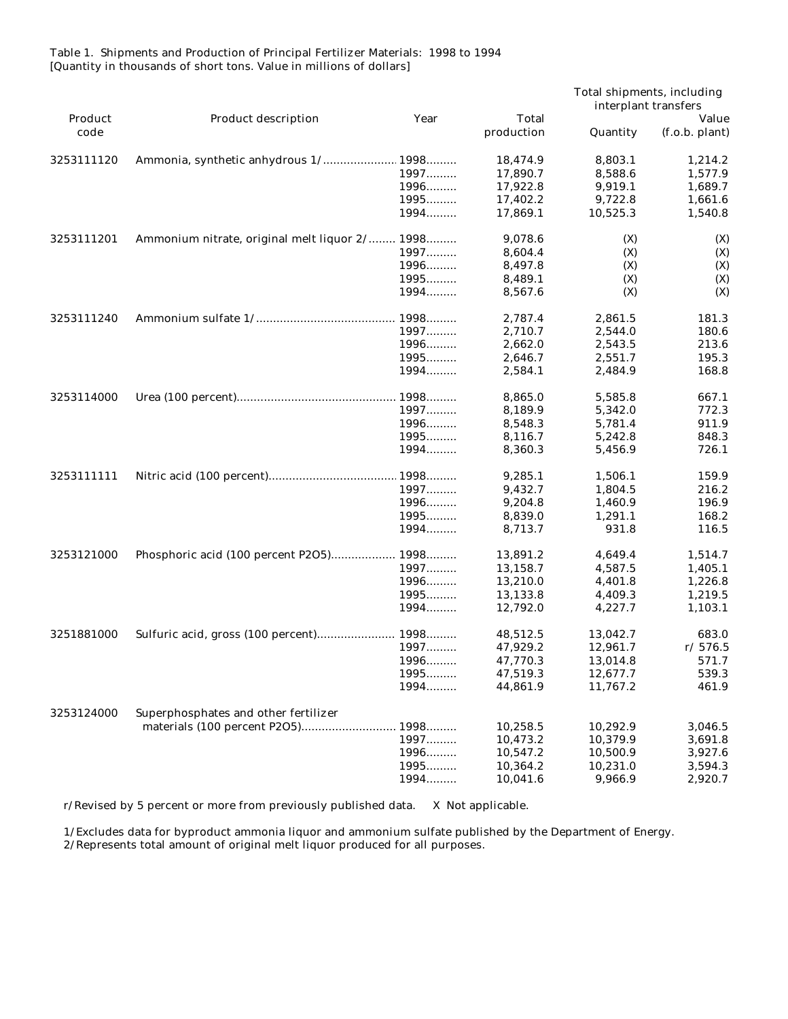Table 1. Shipments and Production of Principal Fertilizer Materials: 1998 to 1994 [Quantity in thousands of short tons. Value in millions of dollars]

|            |                                                |              |              | Total shipments, including<br>interplant transfers |                |
|------------|------------------------------------------------|--------------|--------------|----------------------------------------------------|----------------|
| Product    | Product description                            | Year         | <b>Total</b> |                                                    | Value          |
| code       |                                                |              | production   | Quantity                                           | (f.o.b. plant) |
| 3253111120 | Ammonia, synthetic anhydrous 1/ 1998           |              | 18,474.9     | 8,803.1                                            | 1,214.2        |
|            |                                                | 1997         | 17,890.7     | 8,588.6                                            | 1,577.9        |
|            |                                                | 1996         | 17,922.8     | 9,919.1                                            | 1,689.7        |
|            |                                                | 1995         | 17,402.2     | 9,722.8                                            | 1,661.6        |
|            |                                                | 1994         | 17,869.1     | 10,525.3                                           | 1,540.8        |
| 3253111201 | Ammonium nitrate, original melt liquor 2/ 1998 |              | 9,078.6      | (X)                                                | (X)            |
|            |                                                | 1997         | 8,604.4      | (X)                                                | (X)            |
|            |                                                | 1996         | 8,497.8      | (X)                                                | (X)            |
|            |                                                | 1995         | 8,489.1      | (X)                                                | (X)            |
|            |                                                | 1994         | 8,567.6      | (X)                                                | (X)            |
| 3253111240 |                                                | 1998         | 2,787.4      | 2,861.5                                            | 181.3          |
|            |                                                | 1997         | 2,710.7      | 2,544.0                                            | 180.6          |
|            |                                                | 1996         | 2,662.0      | 2,543.5                                            | 213.6          |
|            |                                                | 1995         | 2,646.7      | 2,551.7                                            | 195.3          |
|            |                                                | 1994         | 2,584.1      | 2.484.9                                            | 168.8          |
| 3253114000 |                                                |              | 8,865.0      | 5,585.8                                            | 667.1          |
|            |                                                | 1997         | 8,189.9      | 5,342.0                                            | 772.3          |
|            |                                                | 1996         | 8,548.3      | 5,781.4                                            | 911.9          |
|            |                                                | 1995         | 8,116.7      | 5,242.8                                            | 848.3          |
|            |                                                | 1994         | 8,360.3      | 5,456.9                                            | 726.1          |
| 3253111111 |                                                |              | 9,285.1      | 1,506.1                                            | 159.9          |
|            |                                                | 1997         | 9,432.7      | 1,804.5                                            | 216.2          |
|            |                                                | 1996         | 9,204.8      | 1,460.9                                            | 196.9          |
|            |                                                | 1995         | 8,839.0      | 1,291.1                                            | 168.2          |
|            |                                                | 1994         | 8,713.7      | 931.8                                              | 116.5          |
|            |                                                |              |              |                                                    |                |
| 3253121000 | Phosphoric acid (100 percent P2O5) 1998        |              | 13,891.2     | 4,649.4                                            | 1,514.7        |
|            |                                                | 1997<br>1996 | 13,158.7     | 4,587.5                                            | 1,405.1        |
|            |                                                |              | 13,210.0     | 4,401.8                                            | 1,226.8        |
|            |                                                | 1995         | 13,133.8     | 4,409.3                                            | 1,219.5        |
|            |                                                | 1994         | 12,792.0     | 4,227.7                                            | 1,103.1        |
| 3251881000 | Sulfuric acid, gross (100 percent)             | 1998         | 48,512.5     | 13,042.7                                           | 683.0          |
|            |                                                | 1997         | 47,929.2     | 12,961.7                                           | r/576.5        |
|            |                                                | 1996         | 47,770.3     | 13,014.8                                           | 571.7          |
|            |                                                | 1995         | 47,519.3     | 12,677.7                                           | 539.3          |
|            |                                                | 1994         | 44,861.9     | 11,767.2                                           | 461.9          |
| 3253124000 | Superphosphates and other fertilizer           |              |              |                                                    |                |
|            | materials (100 percent P2O5) 1998              |              | 10,258.5     | 10,292.9                                           | 3,046.5        |
|            |                                                | 1997         | 10,473.2     | 10,379.9                                           | 3,691.8        |
|            |                                                | 1996         | 10,547.2     | 10,500.9                                           | 3,927.6        |
|            |                                                | 1995         | 10,364.2     | 10,231.0                                           | 3,594.3        |
|            |                                                | 1994         | 10,041.6     | 9,966.9                                            | 2,920.7        |

r/Revised by 5 percent or more from previously published data. X Not applicable.

 1/Excludes data for byproduct ammonia liquor and ammonium sulfate published by the Department of Energy. 2/Represents total amount of original melt liquor produced for all purposes.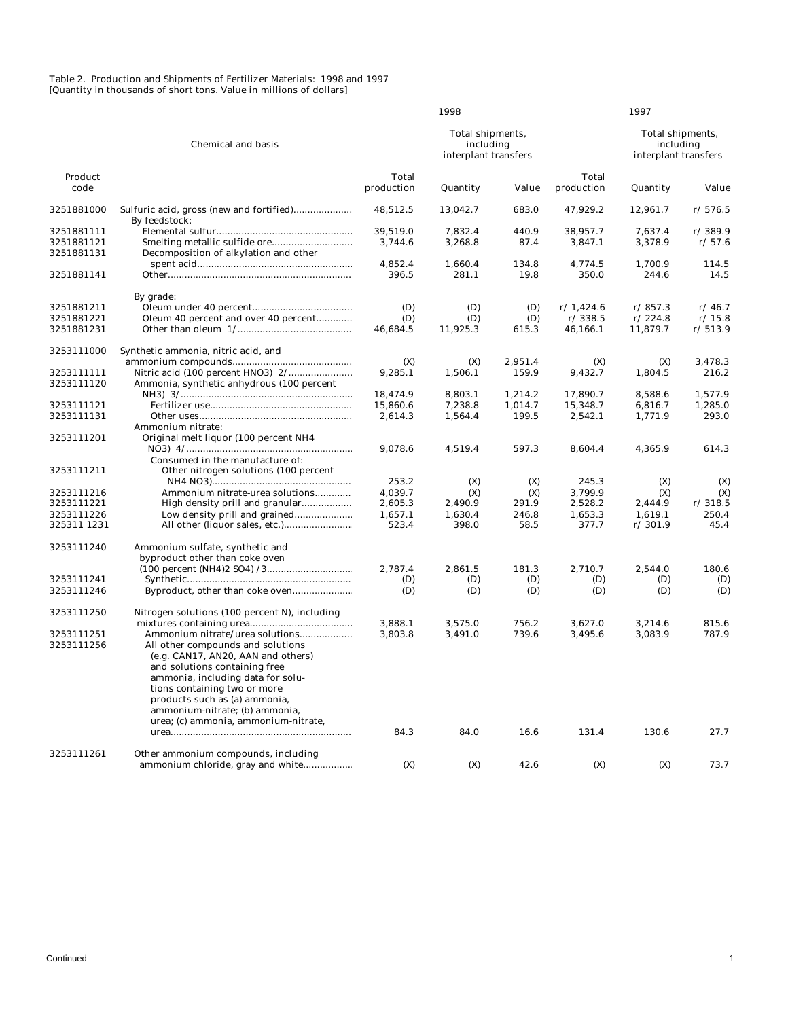#### Table 2. Production and Shipments of Fertilizer Materials: 1998 and 1997 [Quantity in thousands of short tons. Value in millions of dollars]

|                 |                                                           |                     | 1998                                                  |         |                            | 1997     |                                                       |  |
|-----------------|-----------------------------------------------------------|---------------------|-------------------------------------------------------|---------|----------------------------|----------|-------------------------------------------------------|--|
|                 | <b>Chemical and basis</b>                                 |                     | Total shipments,<br>including<br>interplant transfers |         |                            |          | Total shipments,<br>including<br>interplant transfers |  |
| Product<br>code |                                                           | Total<br>production | Quantity                                              | Value   | <b>Total</b><br>production | Quantity | Value                                                 |  |
| 3251881000      | Sulfuric acid, gross (new and fortified)<br>By feedstock: | 48,512.5            | 13,042.7                                              | 683.0   | 47,929.2                   | 12,961.7 | r/576.5                                               |  |
| 3251881111      |                                                           | 39.519.0            | 7,832.4                                               | 440.9   | 38.957.7                   | 7.637.4  | r/389.9                                               |  |
| 3251881121      |                                                           | 3,744.6             | 3,268.8                                               | 87.4    | 3,847.1                    | 3,378.9  | r/57.6                                                |  |
| 3251881131      | Decomposition of alkylation and other                     |                     |                                                       |         |                            |          |                                                       |  |
|                 |                                                           | 4,852.4             | 1,660.4                                               | 134.8   | 4,774.5                    | 1,700.9  | 114.5                                                 |  |
| 3251881141      |                                                           | 396.5               | 281.1                                                 | 19.8    | 350.0                      | 244.6    | 14.5                                                  |  |
|                 | By grade:                                                 |                     |                                                       |         |                            |          |                                                       |  |
| 3251881211      |                                                           | (D)                 | (D)                                                   | (D)     | r/1,424.6                  | r/857.3  | r/46.7                                                |  |
| 3251881221      | Oleum 40 percent and over 40 percent                      | (D)                 | (D)                                                   | (D)     | r/338.5                    | r/224.8  | r/15.8                                                |  |
| 3251881231      |                                                           | 46,684.5            | 11,925.3                                              | 615.3   | 46,166.1                   | 11,879.7 | r/513.9                                               |  |
| 3253111000      | Synthetic ammonia, nitric acid, and                       |                     |                                                       |         |                            |          |                                                       |  |
|                 |                                                           | (X)                 | (X)                                                   | 2,951.4 | (X)                        | (X)      | 3,478.3                                               |  |
| 3253111111      |                                                           | 9,285.1             | 1,506.1                                               | 159.9   | 9,432.7                    | 1,804.5  | 216.2                                                 |  |
| 3253111120      | Ammonia, synthetic anhydrous (100 percent                 | 18,474.9            | 8,803.1                                               | 1,214.2 | 17,890.7                   | 8,588.6  | 1,577.9                                               |  |
| 3253111121      |                                                           | 15,860.6            | 7,238.8                                               | 1,014.7 | 15,348.7                   | 6,816.7  | 1,285.0                                               |  |
| 3253111131      |                                                           | 2,614.3             | 1,564.4                                               | 199.5   | 2,542.1                    | 1,771.9  | 293.0                                                 |  |
|                 | Ammonium nitrate:                                         |                     |                                                       |         |                            |          |                                                       |  |
| 3253111201      | Original melt liquor (100 percent NH4                     |                     |                                                       |         |                            |          |                                                       |  |
|                 |                                                           | 9,078.6             | 4,519.4                                               | 597.3   | 8.604.4                    | 4,365.9  | 614.3                                                 |  |
|                 | Consumed in the manufacture of:                           |                     |                                                       |         |                            |          |                                                       |  |
| 3253111211      | Other nitrogen solutions (100 percent                     |                     |                                                       |         |                            |          |                                                       |  |
|                 |                                                           | 253.2               | (X)                                                   | (X)     | 245.3                      | (X)      | (X)                                                   |  |
| 3253111216      | Ammonium nitrate-urea solutions                           | 4,039.7             | (X)                                                   | (X)     | 3,799.9                    | (X)      | (X)                                                   |  |
| 3253111221      |                                                           | 2,605.3             | 2,490.9                                               | 291.9   | 2,528.2                    | 2,444.9  | r/318.5                                               |  |
| 3253111226      |                                                           | 1,657.1             | 1,630.4                                               | 246.8   | 1,653.3                    | 1,619.1  | 250.4                                                 |  |
| 325311 1231     |                                                           | 523.4               | 398.0                                                 | 58.5    | 377.7                      | r/301.9  | 45.4                                                  |  |
|                 |                                                           |                     |                                                       |         |                            |          |                                                       |  |
| 3253111240      | Ammonium sulfate, synthetic and                           |                     |                                                       |         |                            |          |                                                       |  |
|                 | byproduct other than coke oven                            |                     |                                                       |         |                            |          |                                                       |  |
|                 |                                                           | 2,787.4             | 2,861.5                                               | 181.3   | 2,710.7                    | 2,544.0  | 180.6                                                 |  |
| 3253111241      |                                                           | (D)                 | (D)                                                   | (D)     | (D)                        | (D)      | (D)                                                   |  |
| 3253111246      |                                                           | (D)                 | (D)                                                   | (D)     | (D)                        | (D)      | (D)                                                   |  |
| 3253111250      | Nitrogen solutions (100 percent N), including             |                     |                                                       |         |                            |          |                                                       |  |
|                 |                                                           | 3,888.1             | 3,575.0                                               | 756.2   | 3,627.0                    | 3,214.6  | 815.6                                                 |  |
| 3253111251      | Ammonium nitrate/urea solutions                           | 3,803.8             | 3,491.0                                               | 739.6   | 3,495.6                    | 3,083.9  | 787.9                                                 |  |
| 3253111256      | All other compounds and solutions                         |                     |                                                       |         |                            |          |                                                       |  |
|                 | (e.g. CAN17, AN20, AAN and others)                        |                     |                                                       |         |                            |          |                                                       |  |
|                 | and solutions containing free                             |                     |                                                       |         |                            |          |                                                       |  |
|                 | ammonia, including data for solu-                         |                     |                                                       |         |                            |          |                                                       |  |
|                 | tions containing two or more                              |                     |                                                       |         |                            |          |                                                       |  |
|                 | products such as (a) ammonia,                             |                     |                                                       |         |                            |          |                                                       |  |
|                 | ammonium-nitrate; (b) ammonia,                            |                     |                                                       |         |                            |          |                                                       |  |
|                 | urea; (c) ammonia, ammonium-nitrate,                      |                     |                                                       |         |                            |          |                                                       |  |
|                 |                                                           | 84.3                | 84.0                                                  | 16.6    | 131.4                      | 130.6    | 27.7                                                  |  |
|                 |                                                           |                     |                                                       |         |                            |          |                                                       |  |
| 3253111261      | Other ammonium compounds, including                       |                     |                                                       |         |                            |          |                                                       |  |
|                 | ammonium chloride, gray and white                         | (X)                 | (X)                                                   | 42.6    | (X)                        | (X)      | 73.7                                                  |  |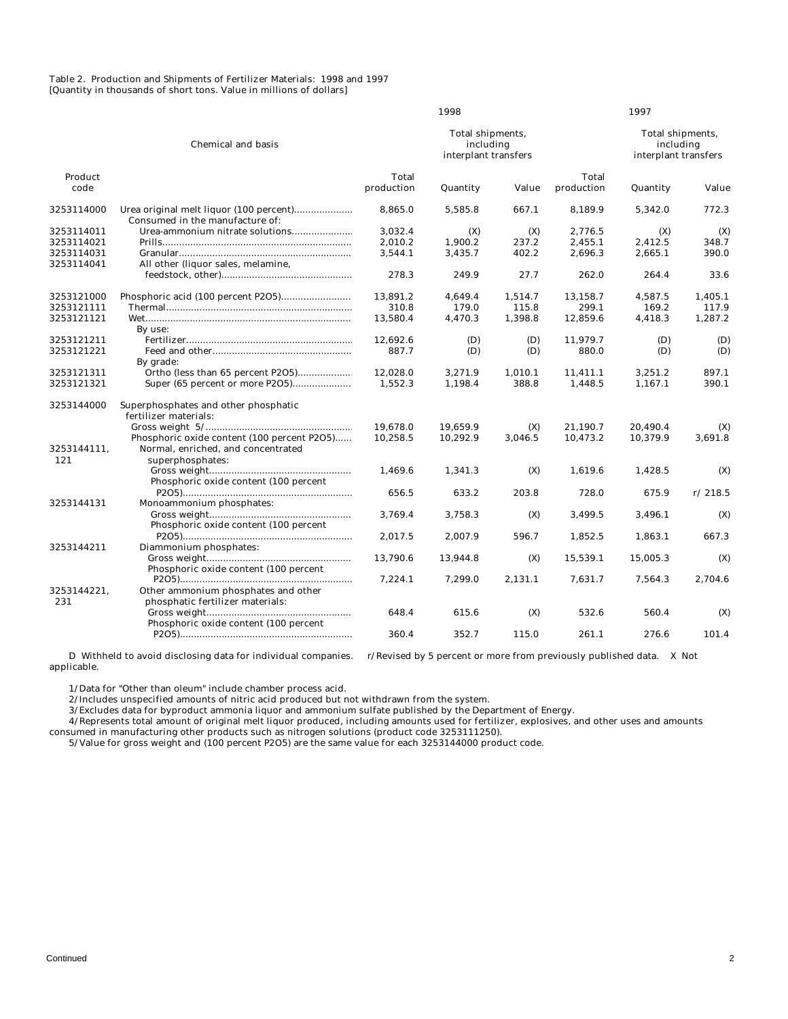Table 2. Production and Shipments of Fertilizer Materials: 1998 and 1997 [Quantity in thousands of short tons. Value in millions of dollars]

|                    |                                                                         |                     | 1998                                                  |         |                     | 1997     |                                                       |
|--------------------|-------------------------------------------------------------------------|---------------------|-------------------------------------------------------|---------|---------------------|----------|-------------------------------------------------------|
|                    | <b>Chemical and basis</b>                                               |                     | Total shipments,<br>including<br>interplant transfers |         |                     |          | Total shipments,<br>including<br>interplant transfers |
| Product<br>code    |                                                                         | Total<br>production | Quantity                                              | Value   | Total<br>production | Quantity | Value                                                 |
|                    |                                                                         |                     |                                                       |         |                     |          |                                                       |
| 3253114000         | Consumed in the manufacture of:                                         | 8,865.0             | 5,585.8                                               | 667.1   | 8,189.9             | 5,342.0  | 772.3                                                 |
| 3253114011         | Urea-ammonium nitrate solutions                                         | 3,032.4             | (X)                                                   | (X)     | 2,776.5             | (X)      | (X)                                                   |
| 3253114021         |                                                                         | 2,010.2             | 1,900.2                                               | 237.2   | 2,455.1             | 2,412.5  | 348.7                                                 |
| 3253114031         |                                                                         | 3,544.1             | 3,435.7                                               | 402.2   | 2,696.3             | 2,665.1  | 390.0                                                 |
| 3253114041         | All other (liquor sales, melamine,                                      |                     |                                                       |         |                     |          |                                                       |
|                    |                                                                         | 278.3               | 249.9                                                 | 27.7    | 262.0               | 264.4    | 33.6                                                  |
| 3253121000         |                                                                         | 13,891.2            | 4,649.4                                               | 1,514.7 | 13,158.7            | 4,587.5  | 1,405.1                                               |
| 3253121111         |                                                                         | 310.8               | 179.0                                                 | 115.8   | 299.1               | 169.2    | 117.9                                                 |
| 3253121121         |                                                                         | 13.580.4            | 4,470.3                                               | 1,398.8 | 12,859.6            | 4,418.3  | 1,287.2                                               |
|                    | By use:                                                                 |                     |                                                       |         |                     |          |                                                       |
| 3253121211         |                                                                         | 12.692.6            | (D)                                                   | (D)     | 11,979.7            | (D)      | (D)                                                   |
| 3253121221         |                                                                         | 887.7               | (D)                                                   | (D)     | 880.0               | (D)      | (D)                                                   |
|                    |                                                                         |                     |                                                       |         |                     |          |                                                       |
| 3253121311         | By grade:                                                               |                     |                                                       |         |                     |          | 897.1                                                 |
|                    |                                                                         | 12,028.0            | 3,271.9                                               | 1,010.1 | 11,411.1            | 3,251.2  |                                                       |
| 3253121321         | Super (65 percent or more P2O5)                                         | 1,552.3             | 1,198.4                                               | 388.8   | 1,448.5             | 1,167.1  | 390.1                                                 |
| 3253144000         | Superphosphates and other phosphatic                                    |                     |                                                       |         |                     |          |                                                       |
|                    | fertilizer materials:                                                   |                     |                                                       |         |                     |          |                                                       |
|                    |                                                                         | 19,678.0            | 19.659.9                                              | (X)     | 21,190.7            | 20,490.4 | (X)                                                   |
|                    | Phosphoric oxide content (100 percent P2O5)                             | 10,258.5            | 10,292.9                                              | 3,046.5 | 10,473.2            | 10,379.9 | 3,691.8                                               |
| 3253144111.        | Normal, enriched, and concentrated                                      |                     |                                                       |         |                     |          |                                                       |
| 121                | superphosphates:                                                        |                     |                                                       |         |                     |          |                                                       |
|                    |                                                                         | 1,469.6             | 1,341.3                                               | (X)     | 1,619.6             | 1,428.5  | (X)                                                   |
|                    | Phosphoric oxide content (100 percent                                   |                     |                                                       |         |                     |          |                                                       |
|                    |                                                                         | 656.5               | 633.2                                                 | 203.8   | 728.0               | 675.9    | r/218.5                                               |
| 3253144131         | Monoammonium phosphates:                                                |                     |                                                       |         |                     |          |                                                       |
|                    |                                                                         | 3,769.4             | 3,758.3                                               | (X)     | 3,499.5             | 3,496.1  | (X)                                                   |
|                    | Phosphoric oxide content (100 percent                                   |                     |                                                       |         |                     |          |                                                       |
|                    |                                                                         | 2,017.5             | 2,007.9                                               | 596.7   | 1,852.5             | 1,863.1  | 667.3                                                 |
| 3253144211         | Diammonium phosphates:                                                  |                     |                                                       |         |                     |          |                                                       |
|                    |                                                                         | 13,790.6            | 13,944.8                                              | (X)     | 15,539.1            | 15,005.3 | (X)                                                   |
|                    | Phosphoric oxide content (100 percent                                   |                     |                                                       |         |                     |          |                                                       |
|                    |                                                                         | 7,224.1             | 7,299.0                                               | 2,131.1 | 7,631.7             | 7,564.3  | 2,704.6                                               |
|                    |                                                                         |                     |                                                       |         |                     |          |                                                       |
| 3253144221,<br>231 | Other ammonium phosphates and other<br>phosphatic fertilizer materials: |                     |                                                       |         |                     |          |                                                       |
|                    |                                                                         |                     |                                                       |         |                     |          |                                                       |
|                    |                                                                         | 648.4               | 615.6                                                 | (X)     | 532.6               | 560.4    | (X)                                                   |
|                    | Phosphoric oxide content (100 percent                                   |                     |                                                       |         |                     |          |                                                       |
|                    |                                                                         | 360.4               | 352.7                                                 | 115.0   | 261.1               | 276.6    | 101.4                                                 |

 D Withheld to avoid disclosing data for individual companies. r/Revised by 5 percent or more from previously published data. X Not applicable.

1/Data for "Other than oleum" include chamber process acid.

2/Includes unspecified amounts of nitric acid produced but not withdrawn from the system.

3/Excludes data for byproduct ammonia liquor and ammonium sulfate published by the Department of Energy.

 4/Represents total amount of original melt liquor produced, including amounts used for fertilizer, explosives, and other uses and amounts consumed in manufacturing other products such as nitrogen solutions (product code 3253111250).

5/Value for gross weight and (100 percent P2O5) are the same value for each 3253144000 product code.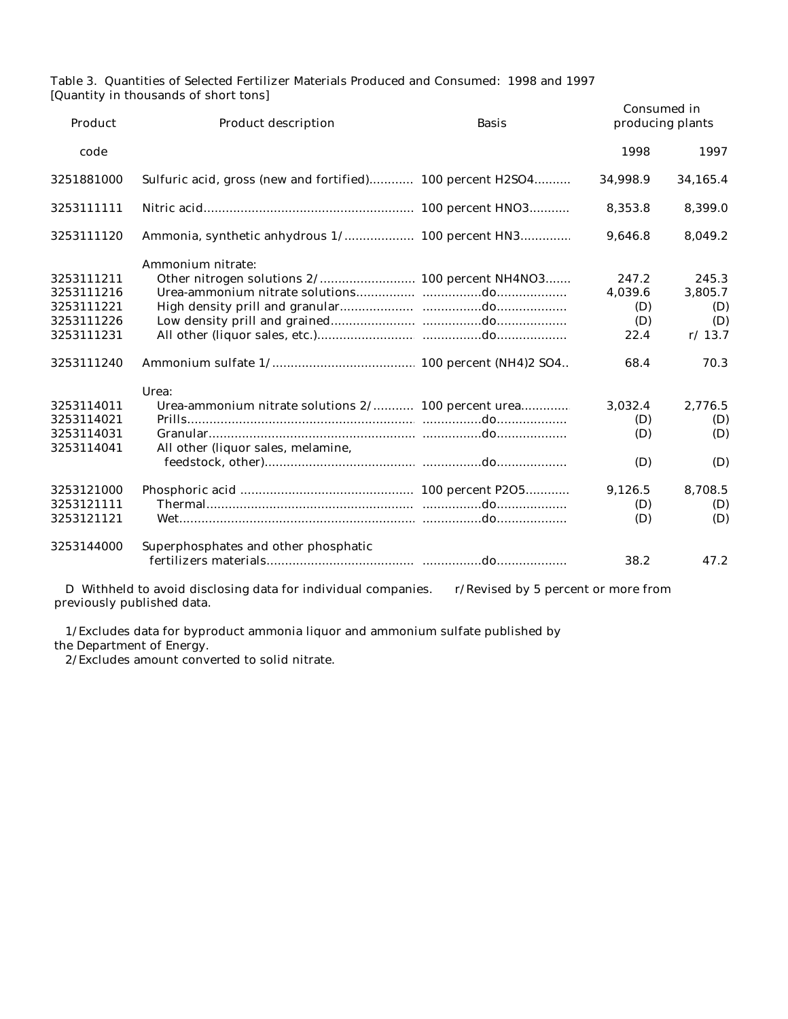Table 3. Quantities of Selected Fertilizer Materials Produced and Consumed: 1998 and 1997 [Quantity in thousands of short tons]

| Toximum in thoubands of short tons<br>Product<br><b>Product description</b> |                                                                                                   | <b>Basis</b> | Consumed in | producing plants |
|-----------------------------------------------------------------------------|---------------------------------------------------------------------------------------------------|--------------|-------------|------------------|
| code                                                                        |                                                                                                   |              | 1998        | 1997             |
| 3251881000                                                                  | Sulfuric acid, gross (new and fortified) 100 percent H2SO4                                        |              | 34,998.9    | 34,165.4         |
| 3253111111                                                                  |                                                                                                   |              | 8,353.8     | 8,399.0          |
| 3253111120                                                                  |                                                                                                   |              | 9.646.8     | 8,049.2          |
|                                                                             | Ammonium nitrate:                                                                                 |              |             |                  |
| 3253111211                                                                  | Other nitrogen solutions 2/ 100 percent NH4NO3                                                    |              | 247.2       | 245.3            |
| 3253111216                                                                  |                                                                                                   |              | 4,039.6     | 3,805.7          |
| 3253111221                                                                  |                                                                                                   |              | (D)         | (D)              |
| 3253111226                                                                  |                                                                                                   |              | (D)         | (D)              |
| 3253111231                                                                  |                                                                                                   |              | 22.4        | r/13.7           |
| 3253111240                                                                  |                                                                                                   |              | 68.4        | 70.3             |
|                                                                             | Urea:                                                                                             |              |             |                  |
| 3253114011                                                                  | Urea-ammonium nitrate solutions 2/ 100 percent urea                                               |              | 3,032.4     | 2,776.5          |
| 3253114021                                                                  |                                                                                                   |              | (D)         | (D)              |
| 3253114031                                                                  |                                                                                                   |              | (D)         | (D)              |
| 3253114041                                                                  | All other (liquor sales, melamine,                                                                |              |             |                  |
|                                                                             |                                                                                                   |              | (D)         | (D)              |
| 3253121000                                                                  |                                                                                                   |              | 9,126.5     | 8,708.5          |
| 3253121111                                                                  |                                                                                                   |              | (D)         | (D)              |
| 3253121121                                                                  |                                                                                                   |              | (D)         | (D)              |
| 3253144000                                                                  | Superphosphates and other phosphatic                                                              |              |             |                  |
|                                                                             |                                                                                                   |              | 38.2        | 47.2             |
|                                                                             | D. Withhold to avoid disclosing data for individual companies represent by 5 percent or more from |              |             |                  |

D Withheld to avoid disclosing data for individual companies. r/Revised by 5 percent or more from previously published data.

 1/Excludes data for byproduct ammonia liquor and ammonium sulfate published by the Department of Energy.

2/Excludes amount converted to solid nitrate.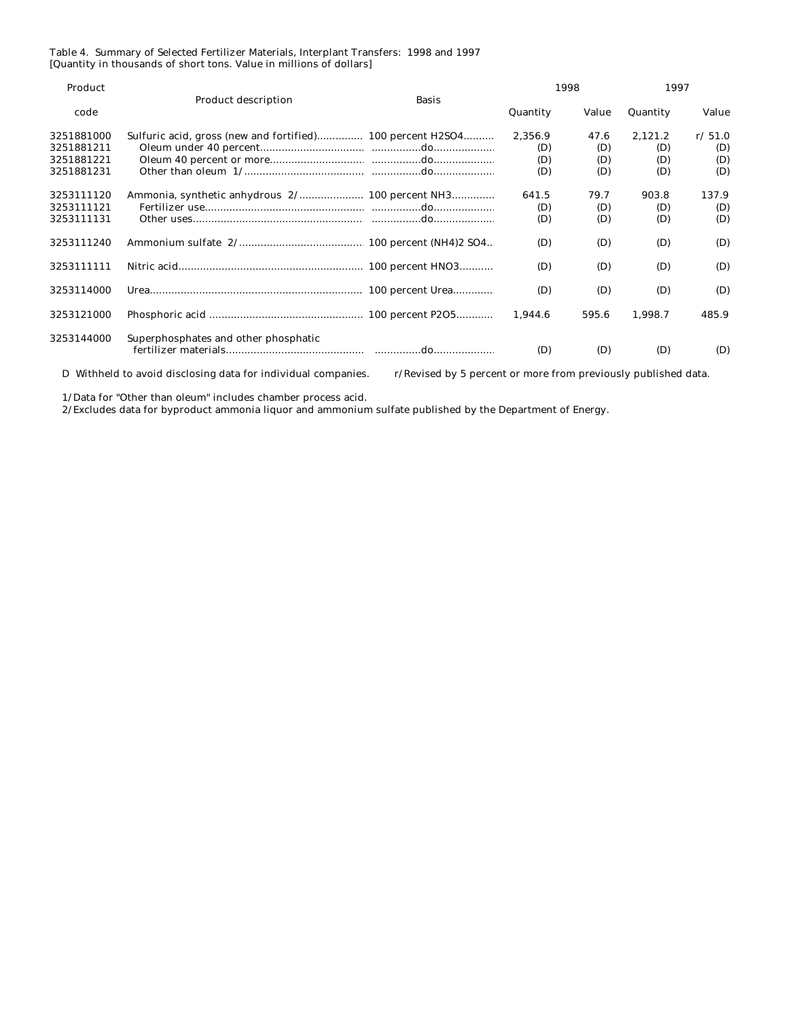### Table 4. Summary of Selected Fertilizer Materials, Interplant Transfers: 1998 and 1997 [Quantity in thousands of short tons. Value in millions of dollars]

| Product    |                                                               |                                                                |          | 1998  | 1997     |        |  |
|------------|---------------------------------------------------------------|----------------------------------------------------------------|----------|-------|----------|--------|--|
| code       | <b>Product description</b>                                    | <b>Basis</b>                                                   | Quantity | Value | Quantity | Value  |  |
| 3251881000 | Sulfuric acid, gross (new and fortified) 100 percent H2SO4    |                                                                | 2.356.9  | 47.6  | 2,121.2  | r/51.0 |  |
| 3251881211 |                                                               |                                                                | (D)      | (D)   | (D)      | (D)    |  |
| 3251881221 |                                                               |                                                                | (D)      | (D)   | (D)      | (D)    |  |
| 3251881231 |                                                               |                                                                | (D)      | (D)   | (D)      | (D)    |  |
| 3253111120 |                                                               |                                                                | 641.5    | 79.7  | 903.8    | 137.9  |  |
| 3253111121 |                                                               |                                                                | (D)      | (D)   | (D)      | (D)    |  |
| 3253111131 |                                                               |                                                                | (D)      | (D)   | (D)      | (D)    |  |
| 3253111240 |                                                               |                                                                | (D)      | (D)   | (D)      | (D)    |  |
| 3253111111 |                                                               |                                                                | (D)      | (D)   | (D)      | (D)    |  |
| 3253114000 |                                                               |                                                                | (D)      | (D)   | (D)      | (D)    |  |
| 3253121000 |                                                               |                                                                | 1,944.6  | 595.6 | 1,998.7  | 485.9  |  |
| 3253144000 | Superphosphates and other phosphatic                          |                                                                | (D)      | (D)   | (D)      | (D)    |  |
|            | D Withheld to avoid disclosing data for individual companies. | r/Revised by 5 percent or more from previously published data. |          |       |          |        |  |

1/Data for "Other than oleum" includes chamber process acid.

2/Excludes data for byproduct ammonia liquor and ammonium sulfate published by the Department of Energy.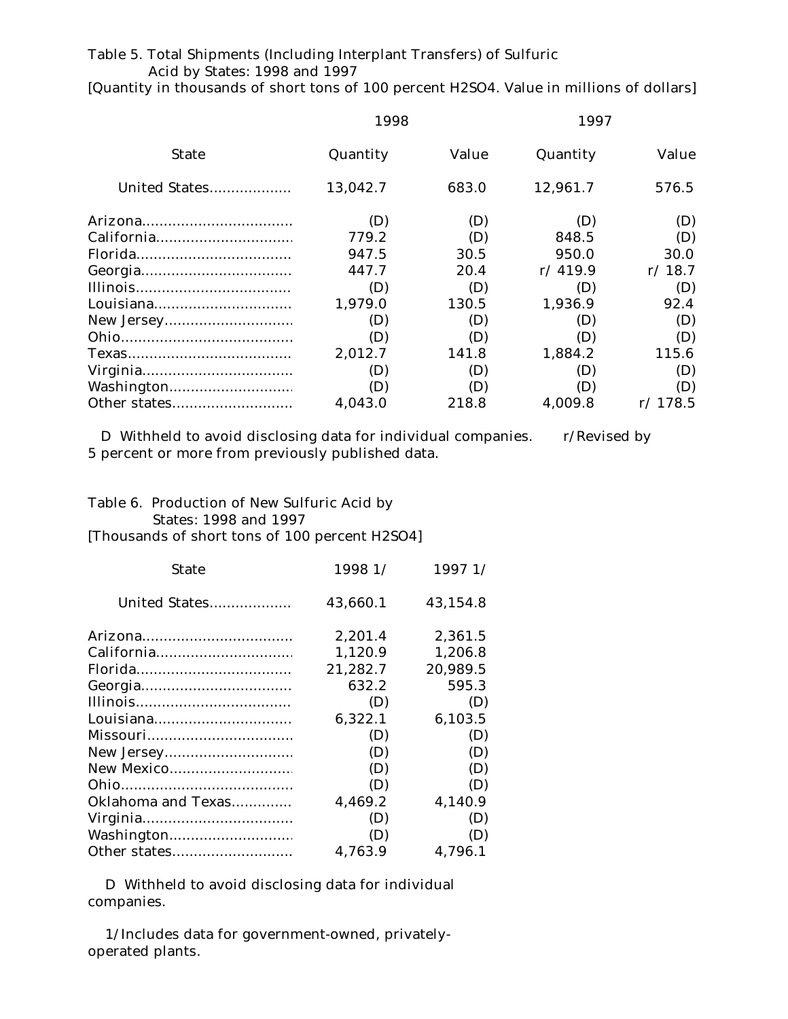## Table 5. Total Shipments (Including Interplant Transfers) of Sulfuric Acid by States: 1998 and 1997

[Quantity in thousands of short tons of 100 percent H2SO4. Value in millions of dollars]

|               | 1998     |       | 1997     |         |  |
|---------------|----------|-------|----------|---------|--|
| <b>State</b>  | Quantity | Value | Quantity | Value   |  |
| United States | 13,042.7 | 683.0 | 12,961.7 | 576.5   |  |
|               | (D)      | (D)   | (D)      | (D)     |  |
|               | 779.2    | (D)   | 848.5    | (D)     |  |
|               | 947.5    | 30.5  | 950.0    | 30.0    |  |
|               | 447.7    | 20.4  | r/419.9  | r/18.7  |  |
|               | (D)      | (D)   | (D)      | (D)     |  |
|               | 1,979.0  | 130.5 | 1,936.9  | 92.4    |  |
|               | (D)      | (D)   | (D)      | (D)     |  |
|               | (D)      | (D)   | (D)      | (D)     |  |
|               | 2,012.7  | 141.8 | 1,884.2  | 115.6   |  |
|               | (D)      | (D)   | (D)      | (D)     |  |
|               | (D)      | (D)   | (D)      | (D)     |  |
|               | 4,043.0  | 218.8 | 4,009.8  | r/178.5 |  |

D Withheld to avoid disclosing data for individual companies. r/Revised by 5 percent or more from previously published data.

# Table 6. Production of New Sulfuric Acid by **States: 1998 and 1997** [Thousands of short tons of 100 percent H2SO4]

| <b>State</b>       | 1998 1/  | 1997 1/  |
|--------------------|----------|----------|
| United States      | 43,660.1 | 43,154.8 |
|                    | 2,201.4  | 2,361.5  |
|                    | 1,120.9  | 1,206.8  |
|                    | 21,282.7 | 20,989.5 |
|                    | 632.2    | 595.3    |
|                    | (D)      | (D)      |
|                    | 6,322.1  | 6,103.5  |
|                    | (D)      | (D)      |
|                    | (D)      | (D)      |
| New Mexico         | (D)      | (D)      |
|                    | (D)      | (D)      |
| Oklahoma and Texas | 4,469.2  | 4,140.9  |
|                    | (D)      | (D)      |
|                    | (D)      | (D)      |
| Other states       | 4,763.9  | 4,796.1  |

D Withheld to avoid disclosing data for individual companies.

1/Includes data for government-owned, privatelyoperated plants.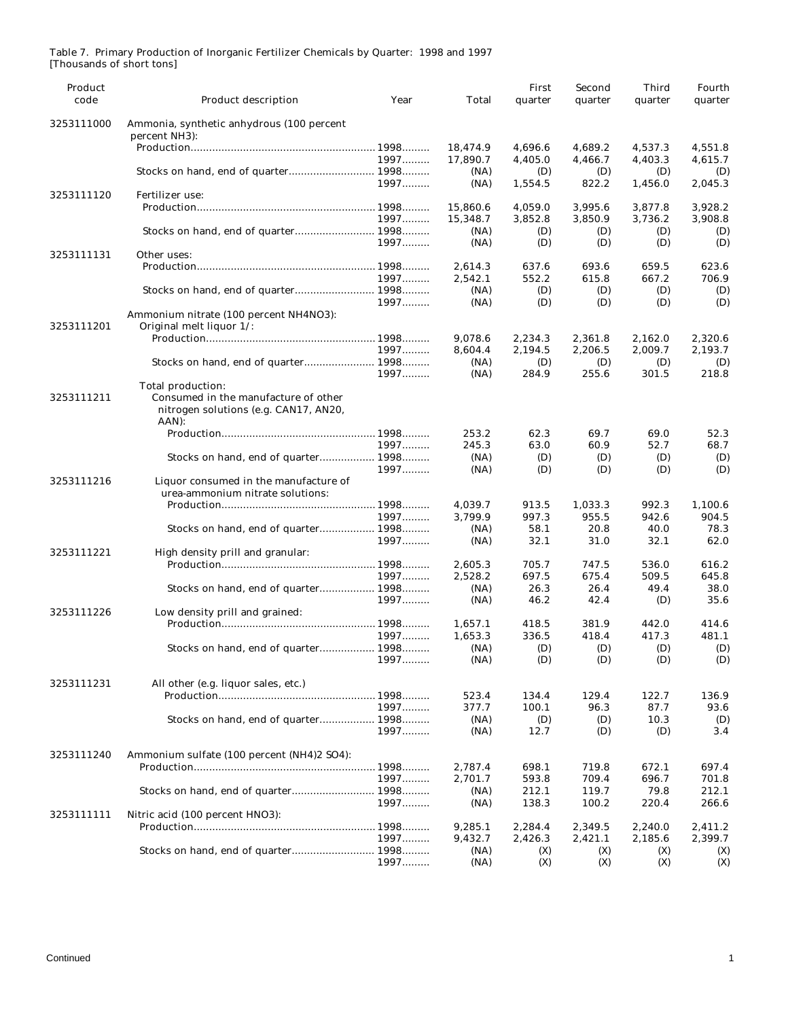| Product<br>code | Product description                                                                    | Year | Total                | First<br>quarter   | Second<br>quarter  | Third<br>quarter   | Fourth<br>quarter  |
|-----------------|----------------------------------------------------------------------------------------|------|----------------------|--------------------|--------------------|--------------------|--------------------|
| 3253111000      | Ammonia, synthetic anhydrous (100 percent<br>percent NH3):                             |      |                      |                    |                    |                    |                    |
|                 |                                                                                        |      | 18,474.9             | 4,696.6            | 4,689.2            | 4,537.3            | 4.551.8            |
|                 |                                                                                        | 1997 | 17,890.7             | 4,405.0            | 4,466.7            | 4,403.3            | 4,615.7            |
|                 | Stocks on hand, end of quarter 1998                                                    |      | (NA)                 | (D)                | (D)                | (D)                | (D)                |
|                 |                                                                                        | 1997 | (NA)                 | 1,554.5            | 822.2              | 1,456.0            | 2,045.3            |
| 3253111120      | Fertilizer use:                                                                        |      |                      |                    |                    |                    |                    |
|                 |                                                                                        | 1997 | 15,860.6<br>15,348.7 | 4,059.0<br>3,852.8 | 3,995.6<br>3,850.9 | 3,877.8<br>3,736.2 | 3,928.2<br>3,908.8 |
|                 | Stocks on hand, end of quarter 1998                                                    |      | (NA)                 | (D)                | (D)                | (D)                | (D)                |
|                 |                                                                                        | 1997 | (NA)                 | (D)                | (D)                | (D)                | (D)                |
| 3253111131      | Other uses:                                                                            |      |                      |                    |                    |                    |                    |
|                 |                                                                                        |      | 2,614.3              | 637.6              | 693.6              | 659.5              | 623.6              |
|                 |                                                                                        | 1997 | 2,542.1              | 552.2              | 615.8              | 667.2              | 706.9              |
|                 | Stocks on hand, end of quarter 1998                                                    |      | (NA)                 | (D)                | (D)                | (D)                | (D)                |
|                 |                                                                                        | 1997 | (NA)                 | (D)                | (D)                | (D)                | (D)                |
|                 | Ammonium nitrate (100 percent NH4NO3):                                                 |      |                      |                    |                    |                    |                    |
| 3253111201      | Original melt liquor 1/:                                                               |      |                      |                    |                    |                    |                    |
|                 |                                                                                        |      | 9,078.6              | 2,234.3            | 2,361.8            | 2,162.0            | 2,320.6            |
|                 |                                                                                        | 1997 | 8,604.4              | 2,194.5            | 2,206.5            | 2,009.7            | 2,193.7            |
|                 | Stocks on hand, end of quarter 1998                                                    |      | (NA)                 | (D)                | (D)                | (D)                | (D)                |
|                 |                                                                                        | 1997 | (NA)                 | 284.9              | 255.6              | 301.5              | 218.8              |
|                 | Total production:                                                                      |      |                      |                    |                    |                    |                    |
| 3253111211      | Consumed in the manufacture of other<br>nitrogen solutions (e.g. CAN17, AN20,<br>AAN): |      |                      |                    |                    |                    |                    |
|                 |                                                                                        |      | 253.2                | 62.3               | 69.7               | 69.0               | 52.3               |
|                 |                                                                                        | 1997 | 245.3                | 63.0               | 60.9               | 52.7               | 68.7               |
|                 | Stocks on hand, end of quarter 1998                                                    |      | (NA)                 | (D)                | (D)                | (D)                | (D)                |
|                 |                                                                                        | 1997 | (NA)                 | (D)                | (D)                | (D)                | (D)                |
| 3253111216      | Liquor consumed in the manufacture of<br>urea-ammonium nitrate solutions:              |      |                      |                    |                    |                    |                    |
|                 |                                                                                        |      | 4,039.7              | 913.5              | 1,033.3            | 992.3              | 1,100.6            |
|                 |                                                                                        | 1997 | 3,799.9              | 997.3              | 955.5              | 942.6              | 904.5              |
|                 | Stocks on hand, end of quarter 1998                                                    |      | (NA)                 | 58.1               | 20.8               | 40.0               | 78.3               |
|                 |                                                                                        | 1997 | (NA)                 | 32.1               | 31.0               | 32.1               | 62.0               |
| 3253111221      | High density prill and granular:                                                       |      |                      |                    |                    |                    |                    |
|                 |                                                                                        |      | 2,605.3              | 705.7              | 747.5              | 536.0              | 616.2              |
|                 |                                                                                        | 1997 | 2,528.2              | 697.5              | 675.4              | 509.5              | 645.8              |
|                 | Stocks on hand, end of quarter 1998                                                    | 1997 | (NA)<br>(NA)         | 26.3<br>46.2       | 26.4<br>42.4       | 49.4<br>(D)        | 38.0<br>35.6       |
| 3253111226      | Low density prill and grained:                                                         |      |                      |                    |                    |                    |                    |
|                 |                                                                                        |      | 1,657.1              | 418.5              | 381.9              | 442.0              | 414.6              |
|                 |                                                                                        | 1997 | 1.653.3              | 336.5              | 418.4              | 417.3              | 481.1              |
|                 | Stocks on hand, end of quarter 1998                                                    |      | (NA)                 | (D)                | (D)                | (D)                | (D)                |
|                 |                                                                                        | 1997 | (NA)                 | (D)                | (D)                | (D)                | (D)                |
|                 |                                                                                        |      |                      |                    |                    |                    |                    |
| 3253111231      | All other (e.g. liquor sales, etc.)                                                    |      |                      |                    |                    |                    |                    |
|                 |                                                                                        |      | 523.4                | 134.4              | 129.4              | 122.7              | 136.9              |
|                 |                                                                                        | 1997 | 377.7                | 100.1              | 96.3               | 87.7               | 93.6               |
|                 | Stocks on hand, end of quarter 1998                                                    |      | (NA)                 | (D)                | (D)                | 10.3               | (D)                |
|                 |                                                                                        | 1997 | (NA)                 | 12.7               | (D)                | (D)                | 3.4                |
| 3253111240      | Ammonium sulfate (100 percent (NH4)2 SO4):                                             |      |                      |                    |                    |                    |                    |
|                 |                                                                                        |      | 2,787.4              | 698.1              | 719.8              | 672.1              | 697.4              |
|                 |                                                                                        | 1997 | 2,701.7              | 593.8              | 709.4              | 696.7              | 701.8              |
|                 |                                                                                        |      | (NA)                 | 212.1              | 119.7              | 79.8               | 212.1              |
|                 |                                                                                        | 1997 | (NA)                 | 138.3              | 100.2              | 220.4              | 266.6              |
| 3253111111      | Nitric acid (100 percent HNO3):                                                        |      |                      |                    |                    |                    |                    |
|                 |                                                                                        |      | 9,285.1              | 2,284.4            | 2,349.5            | 2,240.0            | 2,411.2            |
|                 |                                                                                        | 1997 | 9,432.7              | 2,426.3            | 2,421.1            | 2,185.6            | 2,399.7            |
|                 | Stocks on hand, end of quarter 1998                                                    |      | (NA)                 | (X)                | (X)                | (X)                | (X)                |
|                 |                                                                                        | 1997 | (NA)                 | (X)                | (X)                | (X)                | (X)                |

### Table 7. Primary Production of Inorganic Fertilizer Chemicals by Quarter: 1998 and 1997 [Thousands of short tons]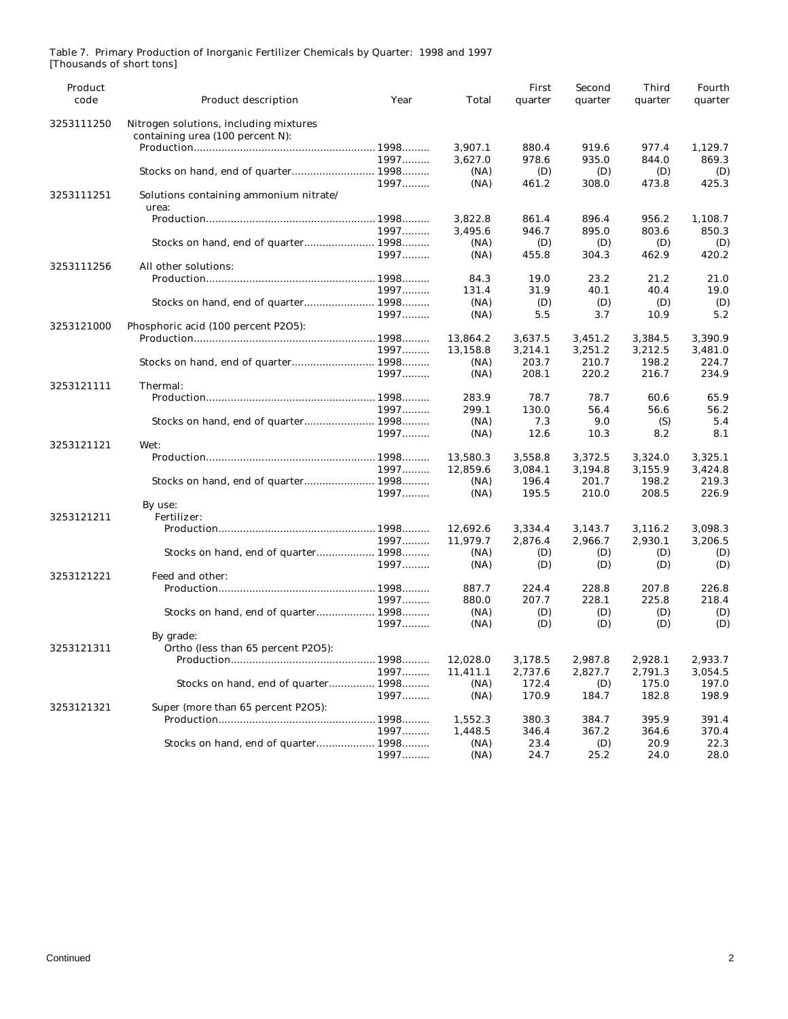| Product<br>code | <b>Product description</b>                                                 | Year | Total    | First<br>quarter | Second<br>quarter | Third<br>quarter | Fourth<br>quarter |
|-----------------|----------------------------------------------------------------------------|------|----------|------------------|-------------------|------------------|-------------------|
| 3253111250      | Nitrogen solutions, including mixtures<br>containing urea (100 percent N): |      |          |                  |                   |                  |                   |
|                 |                                                                            |      | 3,907.1  | 880.4            | 919.6             | 977.4            | 1,129.7           |
|                 |                                                                            | 1997 | 3.627.0  | 978.6            | 935.0             | 844.0            | 869.3             |
|                 | Stocks on hand, end of quarter 1998                                        |      | (NA)     | (D)              | (D)               | (D)              | (D)               |
|                 |                                                                            | 1997 | (NA)     | 461.2            | 308.0             | 473.8            | 425.3             |
| 3253111251      | Solutions containing ammonium nitrate/                                     |      |          |                  |                   |                  |                   |
|                 | urea:                                                                      |      |          |                  |                   |                  |                   |
|                 |                                                                            |      | 3,822.8  | 861.4            | 896.4             | 956.2            | 1,108.7           |
|                 |                                                                            | 1997 | 3,495.6  | 946.7            | 895.0             | 803.6            | 850.3             |
|                 |                                                                            |      | (NA)     | (D)              | (D)               | (D)              | (D)               |
|                 |                                                                            | 1997 | (NA)     | 455.8            | 304.3             | 462.9            | 420.2             |
| 3253111256      | All other solutions:                                                       |      |          |                  |                   |                  |                   |
|                 |                                                                            |      | 84.3     | 19.0             | 23.2              | 21.2             | 21.0              |
|                 |                                                                            | 1997 | 131.4    | 31.9             | 40.1              | 40.4             | 19.0              |
|                 |                                                                            |      |          |                  |                   |                  |                   |
|                 |                                                                            |      | (NA)     | (D)              | (D)               | (D)              | (D)               |
|                 |                                                                            | 1997 | (NA)     | 5.5              | 3.7               | 10.9             | 5.2               |
| 3253121000      | Phosphoric acid (100 percent P2O5):                                        |      |          |                  |                   |                  |                   |
|                 |                                                                            |      | 13,864.2 | 3,637.5          | 3,451.2           | 3,384.5          | 3,390.9           |
|                 |                                                                            | 1997 | 13,158.8 | 3,214.1          | 3,251.2           | 3,212.5          | 3,481.0           |
|                 |                                                                            |      | (NA)     | 203.7            | 210.7             | 198.2            | 224.7             |
|                 |                                                                            | 1997 | (NA)     | 208.1            | 220.2             | 216.7            | 234.9             |
| 3253121111      | Thermal:                                                                   |      |          |                  |                   |                  |                   |
|                 |                                                                            |      | 283.9    | 78.7             | 78.7              | 60.6             | 65.9              |
|                 |                                                                            | 1997 | 299.1    | 130.0            | 56.4              | 56.6             | 56.2              |
|                 |                                                                            |      | (NA)     | 7.3              | 9.0               | (S)              | 5.4               |
|                 |                                                                            | 1997 | (NA)     | 12.6             | 10.3              | 8.2              | 8.1               |
| 3253121121      | Wet:                                                                       |      |          |                  |                   |                  |                   |
|                 |                                                                            |      | 13,580.3 | 3,558.8          | 3,372.5           | 3,324.0          | 3,325.1           |
|                 |                                                                            | 1997 | 12,859.6 | 3,084.1          | 3,194.8           | 3,155.9          | 3,424.8           |
|                 |                                                                            |      | (NA)     | 196.4            | 201.7             | 198.2            | 219.3             |
|                 |                                                                            | 1997 | (NA)     | 195.5            | 210.0             | 208.5            | 226.9             |
|                 | By use:                                                                    |      |          |                  |                   |                  |                   |
| 3253121211      | Fertilizer:                                                                |      |          |                  |                   |                  |                   |
|                 |                                                                            |      | 12,692.6 | 3,334.4          | 3,143.7           | 3,116.2          | 3,098.3           |
|                 |                                                                            | 1997 | 11,979.7 | 2,876.4          | 2,966.7           | 2,930.1          | 3,206.5           |
|                 | Stocks on hand, end of quarter 1998                                        |      | (NA)     | (D)              | (D)               | (D)              | (D)               |
|                 |                                                                            | 1997 | (NA)     | (D)              | (D)               | (D)              | (D)               |
| 3253121221      | Feed and other:                                                            |      |          |                  |                   |                  |                   |
|                 |                                                                            |      | 887.7    | 224.4            | 228.8             | 207.8            | 226.8             |
|                 |                                                                            | 1997 | 880.0    | 207.7            | 228.1             | 225.8            | 218.4             |
|                 | Stocks on hand, end of quarter 1998                                        |      | (NA)     | (D)              | (D)               | (D)              | (D)               |
|                 |                                                                            | 1997 | (NA)     | (D)              | (D)               | (D)              | (D)               |
|                 | By grade:                                                                  |      |          |                  |                   |                  |                   |
| 3253121311      | Ortho (less than 65 percent P2O5):                                         |      |          |                  |                   |                  |                   |
|                 |                                                                            |      | 12,028.0 | 3,178.5          | 2,987.8           | 2,928.1          | 2,933.7           |
|                 |                                                                            | 1997 | 11,411.1 | 2,737.6          | 2,827.7           | 2,791.3          | 3,054.5           |
|                 | Stocks on hand, end of quarter 1998                                        |      | (NA)     | 172.4            | (D)               | 175.0            | 197.0             |
|                 |                                                                            | 1997 | (NA)     | 170.9            | 184.7             | 182.8            | 198.9             |
| 3253121321      | Super (more than 65 percent P2O5):                                         |      |          |                  |                   |                  |                   |
|                 |                                                                            |      | 1,552.3  | 380.3            | 384.7             | 395.9            | 391.4             |
|                 |                                                                            | 1997 | 1,448.5  | 346.4            | 367.2             | 364.6            | 370.4             |
|                 |                                                                            |      | (NA)     | 23.4             | (D)               | 20.9             | 22.3              |
|                 |                                                                            | 1997 | (NA)     | 24.7             | 25.2              | 24.0             | 28.0              |

## Table 7. Primary Production of Inorganic Fertilizer Chemicals by Quarter: 1998 and 1997 [Thousands of short tons]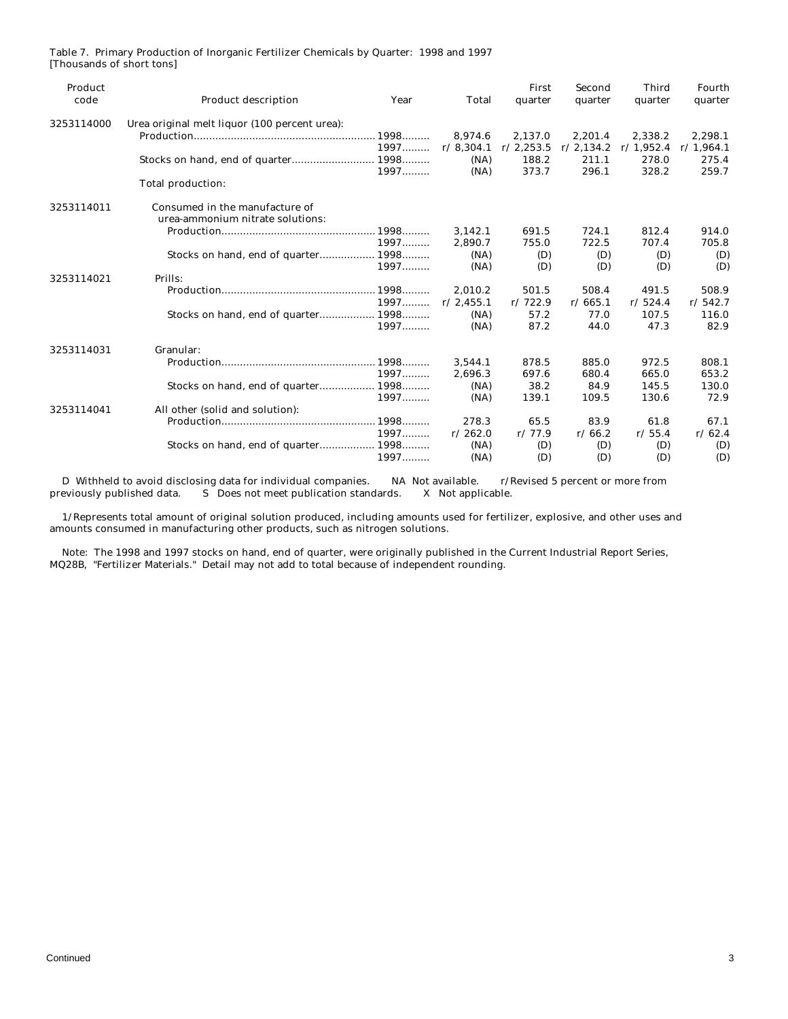| Product<br>code | <b>Product description</b>                    | Year | Total     | First<br>quarter | Second<br>quarter | <b>Third</b><br>quarter | Fourth<br>quarter |
|-----------------|-----------------------------------------------|------|-----------|------------------|-------------------|-------------------------|-------------------|
| 3253114000      | Urea original melt liquor (100 percent urea): |      |           |                  |                   |                         |                   |
|                 |                                               |      | 8,974.6   | 2,137.0          | 2,201.4           | 2,338.2                 | 2,298.1           |
|                 |                                               | 1997 | r/8,304.1 | r/2,253.5        | r/2,134.2         | r/1,952.4               | r/1,964.1         |
|                 |                                               |      | (NA)      | 188.2            | 211.1             | 278.0                   | 275.4             |
|                 |                                               | 1997 | (NA)      | 373.7            | 296.1             | 328.2                   | 259.7             |
|                 | Total production:                             |      |           |                  |                   |                         |                   |
| 3253114011      | Consumed in the manufacture of                |      |           |                  |                   |                         |                   |
|                 | urea-ammonium nitrate solutions:              |      |           |                  |                   |                         |                   |
|                 |                                               |      | 3.142.1   | 691.5            | 724.1             | 812.4                   | 914.0             |
|                 |                                               | 1997 | 2.890.7   | 755.0            | 722.5             | 707.4                   | 705.8             |
|                 |                                               |      | (NA)      | (D)              | (D)               | (D)                     | (D)               |
|                 |                                               | 1997 | (NA)      | (D)              | (D)               | (D)                     | (D)               |
| 3253114021      | Prills:                                       |      |           |                  |                   |                         |                   |
|                 |                                               |      | 2.010.2   | 501.5            | 508.4             | 491.5                   | 508.9             |
|                 |                                               | 1997 | r/2,455.1 | r/722.9          | r/665.1           | r/524.4                 | r/542.7           |
|                 |                                               |      | (NA)      | 57.2             | 77.0              | 107.5                   | 116.0             |
|                 |                                               | 1997 | (NA)      | 87.2             | 44.0              | 47.3                    | 82.9              |
| 3253114031      | Granular:                                     |      |           |                  |                   |                         |                   |
|                 |                                               |      | 3.544.1   | 878.5            | 885.0             | 972.5                   | 808.1             |
|                 |                                               | 1997 | 2.696.3   | 697.6            | 680.4             | 665.0                   | 653.2             |
|                 | Stocks on hand, end of quarter 1998           |      | (NA)      | 38.2             | 84.9              | 145.5                   | 130.0             |
|                 |                                               | 1997 | (NA)      | 139.1            | 109.5             | 130.6                   | 72.9              |
| 3253114041      | All other (solid and solution):               |      |           |                  |                   |                         |                   |
|                 |                                               |      | 278.3     | 65.5             | 83.9              | 61.8                    | 67.1              |
|                 |                                               | 1997 | r/262.0   | r/77.9           | r/66.2            | r/55.4                  | r/62.4            |
|                 |                                               |      | (NA)      | (D)              | (D)               | (D)                     | (D)               |
|                 |                                               | 1997 | (NA)      | (D)              | (D)               | (D)                     | (D)               |

Table 7. Primary Production of Inorganic Fertilizer Chemicals by Quarter: 1998 and 1997 [Thousands of short tons]

D Withheld to avoid disclosing data for individual companies. NA Not available. r/Revised 5 percent or more from previously published data. S Does not meet publication standards. X Not applicable. S Does not meet publication standards.

 1/Represents total amount of original solution produced, including amounts used for fertilizer, explosive, and other uses and amounts consumed in manufacturing other products, such as nitrogen solutions.

 Note: The 1998 and 1997 stocks on hand, end of quarter, were originally published in the Current Industrial Report Series, MQ28B, "Fertilizer Materials." Detail may not add to total because of independent rounding.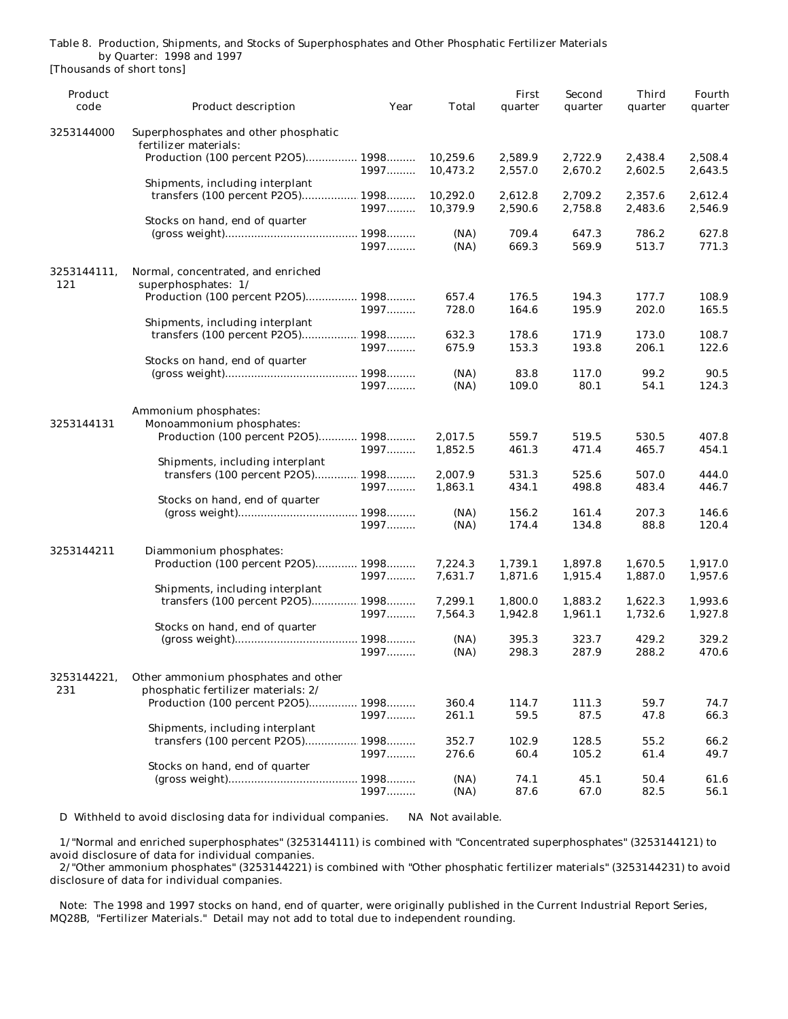|                           |  | Table 8. Production, Shipments, and Stocks of Superphosphates and Other Phosphatic Fertilizer Materials |  |  |
|---------------------------|--|---------------------------------------------------------------------------------------------------------|--|--|
| by Quarter: 1998 and 1997 |  |                                                                                                         |  |  |
| Thousands of short topel  |  |                                                                                                         |  |  |

| Product            |                                                                            |                | First          | Second         | <b>Third</b>   | Fourth         |
|--------------------|----------------------------------------------------------------------------|----------------|----------------|----------------|----------------|----------------|
| code               | Product description                                                        | Year<br>Total  | quarter        | quarter        | quarter        | quarter        |
| 3253144000         | Superphosphates and other phosphatic<br>fertilizer materials:              |                |                |                |                |                |
|                    | Production (100 percent P2O5) 1998                                         | 10,259.6       | 2,589.9        | 2,722.9        | 2,438.4        | 2,508.4        |
|                    | 1997                                                                       | 10,473.2       | 2,557.0        | 2,670.2        | 2,602.5        | 2,643.5        |
|                    | Shipments, including interplant                                            |                |                |                |                |                |
|                    | transfers (100 percent P2O5) 1998                                          | 10,292.0       | 2,612.8        | 2,709.2        | 2,357.6        | 2,612.4        |
|                    | 1997                                                                       | 10,379.9       | 2,590.6        | 2,758.8        | 2,483.6        | 2,546.9        |
|                    | Stocks on hand, end of quarter                                             |                |                |                |                |                |
|                    |                                                                            | (NA)<br>(NA)   | 709.4<br>669.3 | 647.3<br>569.9 | 786.2<br>513.7 | 627.8<br>771.3 |
|                    | 1997                                                                       |                |                |                |                |                |
| 3253144111.        | Normal, concentrated, and enriched                                         |                |                |                |                |                |
| 121                | superphosphates: 1/                                                        |                |                |                |                |                |
|                    | Production (100 percent P2O5) 1998<br>1997                                 | 657.4<br>728.0 | 176.5<br>164.6 | 194.3<br>195.9 | 177.7<br>202.0 | 108.9<br>165.5 |
|                    | Shipments, including interplant                                            |                |                |                |                |                |
|                    | transfers (100 percent P2O5) 1998                                          | 632.3          | 178.6          | 171.9          | 173.0          | 108.7          |
|                    | 1997                                                                       | 675.9          | 153.3          | 193.8          | 206.1          | 122.6          |
|                    | Stocks on hand, end of quarter                                             |                |                |                |                |                |
|                    |                                                                            | (NA)           | 83.8           | 117.0          | 99.2           | 90.5           |
|                    | 1997                                                                       | (NA)           | 109.0          | 80.1           | 54.1           | 124.3          |
|                    | Ammonium phosphates:                                                       |                |                |                |                |                |
| 3253144131         | Monoammonium phosphates:                                                   |                |                |                |                |                |
|                    | Production (100 percent P2O5) 1998                                         | 2,017.5        | 559.7          | 519.5          | 530.5          | 407.8          |
|                    | 1997                                                                       | 1,852.5        | 461.3          | 471.4          | 465.7          | 454.1          |
|                    | Shipments, including interplant                                            |                |                |                |                |                |
|                    | transfers (100 percent P2O5) 1998                                          | 2,007.9        | 531.3          | 525.6          | 507.0          | 444.0          |
|                    | 1997                                                                       | 1,863.1        | 434.1          | 498.8          | 483.4          | 446.7          |
|                    | Stocks on hand, end of quarter                                             |                |                |                |                |                |
|                    |                                                                            | (NA)           | 156.2          | 161.4          | 207.3          | 146.6          |
|                    | 1997                                                                       | (NA)           | 174.4          | 134.8          | 88.8           | 120.4          |
| 3253144211         | Diammonium phosphates:                                                     |                |                |                |                |                |
|                    | Production (100 percent P2O5) 1998                                         | 7,224.3        | 1,739.1        | 1,897.8        | 1,670.5        | 1,917.0        |
|                    | 1997                                                                       | 7,631.7        | 1,871.6        | 1,915.4        | 1,887.0        | 1,957.6        |
|                    | Shipments, including interplant                                            |                |                |                |                |                |
|                    | transfers (100 percent P2O5) 1998                                          | 7,299.1        | 1,800.0        | 1,883.2        | 1,622.3        | 1,993.6        |
|                    | 1997<br>Stocks on hand, end of quarter                                     | 7,564.3        | 1,942.8        | 1,961.1        | 1,732.6        | 1,927.8        |
|                    |                                                                            | (NA)           | 395.3          | 323.7          | 429.2          | 329.2          |
|                    | 1997                                                                       | (NA)           | 298.3          | 287.9          | 288.2          | 470.6          |
|                    |                                                                            |                |                |                |                |                |
| 3253144221,<br>231 | Other ammonium phosphates and other<br>phosphatic fertilizer materials: 2/ |                |                |                |                |                |
|                    | Production (100 percent P2O5) 1998                                         | 360.4          | 114.7          | 111.3          | 59.7           | 74.7           |
|                    | 1997                                                                       | 261.1          | 59.5           | 87.5           | 47.8           | 66.3           |
|                    | Shipments, including interplant                                            |                |                |                |                |                |
|                    | transfers (100 percent P2O5)<br>.1998                                      | 352.7          | 102.9          | 128.5          | 55.2           | 66.2           |
|                    | 1997                                                                       | 276.6          | 60.4           | 105.2          | 61.4           | 49.7           |
|                    | Stocks on hand, end of quarter                                             |                |                |                |                |                |
|                    |                                                                            | (NA)           | 74.1           | 45.1           | 50.4           | 61.6           |
|                    | 1997                                                                       | (NA)           | 87.6           | 67.0           | 82.5           | 56.1           |
|                    |                                                                            |                |                |                |                |                |

D Withheld to avoid disclosing data for individual companies. NA Not available.

 1/"Normal and enriched superphosphates" (3253144111) is combined with "Concentrated superphosphates" (3253144121) to avoid disclosure of data for individual companies.

 2/"Other ammonium phosphates" (3253144221) is combined with "Other phosphatic fertilizer materials" (3253144231) to avoid disclosure of data for individual companies.

 Note: The 1998 and 1997 stocks on hand, end of quarter, were originally published in the Current Industrial Report Series, MQ28B, "Fertilizer Materials." Detail may not add to total due to independent rounding.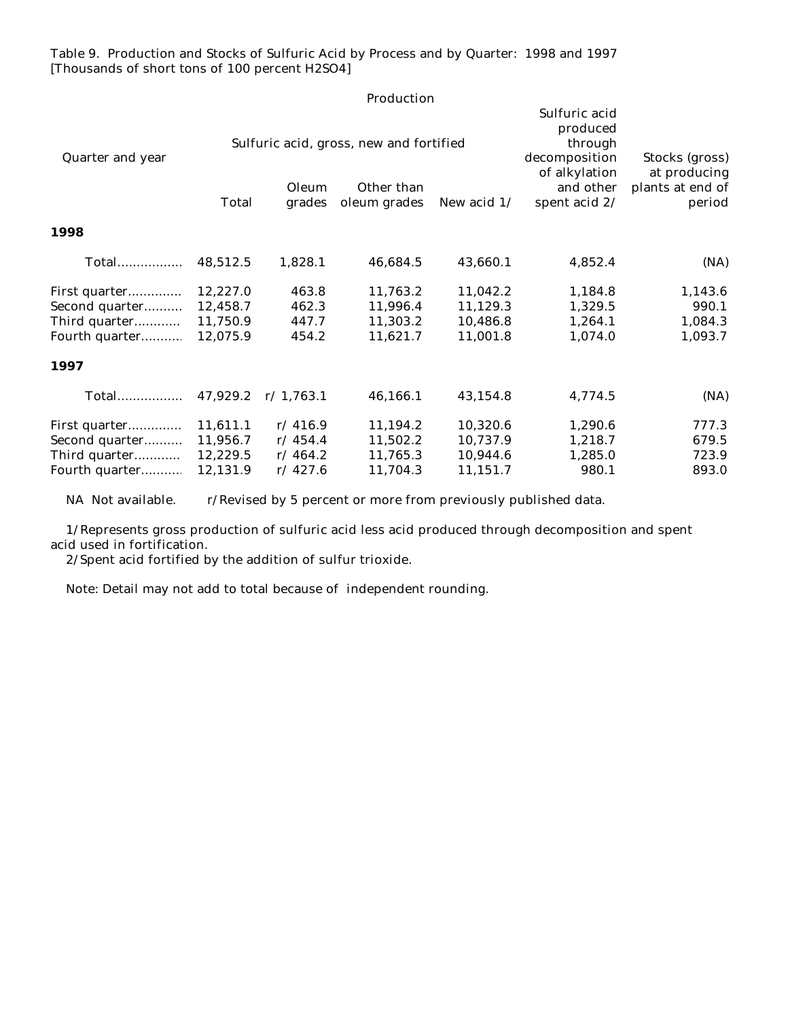Table 9. Production and Stocks of Sulfuric Acid by Process and by Quarter: 1998 and 1997 [Thousands of short tons of 100 percent H2SO4]

|                  |          |                            | Production                                                            |                                                                                                      |                                                              |         |
|------------------|----------|----------------------------|-----------------------------------------------------------------------|------------------------------------------------------------------------------------------------------|--------------------------------------------------------------|---------|
| Quarter and year | Total    | Oleum<br>grades            | Sulfuric acid, gross, new and fortified<br>Other than<br>oleum grades | Sulfuric acid<br>produced<br>through<br>decomposition<br>of alkylation<br>and other<br>spent acid 2/ | Stocks (gross)<br>at producing<br>plants at end of<br>period |         |
| 1998             |          |                            |                                                                       |                                                                                                      |                                                              |         |
| <b>Total</b>     | 48,512.5 | 1,828.1                    | 46,684.5                                                              | 43,660.1                                                                                             | 4,852.4                                                      | (NA)    |
| First quarter    | 12,227.0 | 463.8                      | 11,763.2                                                              | 11,042.2                                                                                             | 1,184.8                                                      | 1,143.6 |
| Second quarter   | 12,458.7 | 462.3                      | 11,996.4                                                              | 11,129.3                                                                                             | 1,329.5                                                      | 990.1   |
| Third quarter    | 11,750.9 | 447.7                      | 11,303.2                                                              | 10,486.8                                                                                             | 1,264.1                                                      | 1,084.3 |
| Fourth quarter   | 12,075.9 | 454.2                      | 11,621.7                                                              | 11,001.8                                                                                             | 1,074.0                                                      | 1,093.7 |
| 1997             |          |                            |                                                                       |                                                                                                      |                                                              |         |
| Total            |          | $47,929.2 \quad r/1,763.1$ | 46,166.1                                                              | 43,154.8                                                                                             | 4,774.5                                                      | (NA)    |
| First quarter    | 11,611.1 | r/416.9                    | 11,194.2                                                              | 10,320.6                                                                                             | 1,290.6                                                      | 777.3   |
| Second quarter   | 11,956.7 | r/454.4                    | 11,502.2                                                              | 10,737.9                                                                                             | 1,218.7                                                      | 679.5   |
| Third quarter    | 12,229.5 | r/464.2                    | 11,765.3                                                              | 10,944.6                                                                                             | 1,285.0                                                      | 723.9   |
| Fourth quarter   | 12,131.9 | r/427.6                    | 11,704.3                                                              | 11,151.7                                                                                             | 980.1                                                        | 893.0   |
|                  |          |                            |                                                                       |                                                                                                      |                                                              |         |

NA Not available. r/Revised by 5 percent or more from previously published data.

 1/Represents gross production of sulfuric acid less acid produced through decomposition and spent acid used in fortification.

2/Spent acid fortified by the addition of sulfur trioxide.

Note: Detail may not add to total because of independent rounding.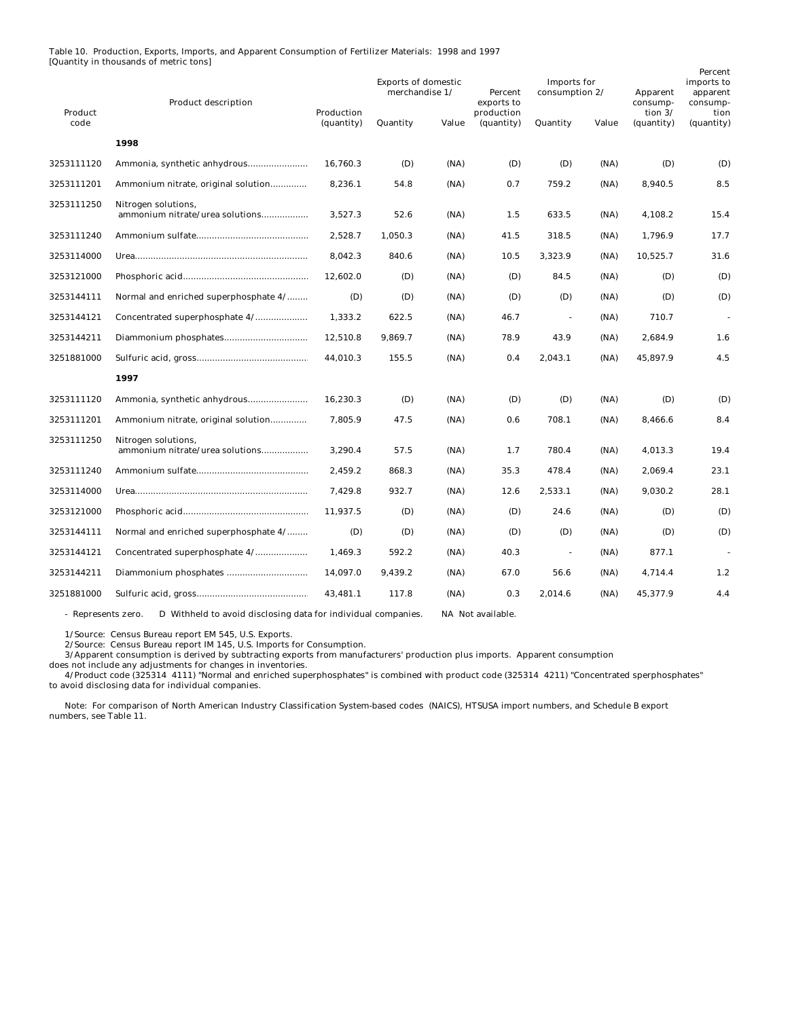Table 10. Production, Exports, Imports, and Apparent Consumption of Fertilizer Materials: 1998 and 1997 [Quantity in thousands of metric tons]

| Product    | <b>Product description</b>                             | Production | <b>Exports of domestic</b><br>merchandise 1/ |       | Percent<br>exports to<br>production | <b>Imports</b> for<br>consumption 2/ |       | Apparent<br>consump-<br>tion $3/$ | Percent<br>imports to<br>apparent<br>consump-<br>tion |
|------------|--------------------------------------------------------|------------|----------------------------------------------|-------|-------------------------------------|--------------------------------------|-------|-----------------------------------|-------------------------------------------------------|
| code       |                                                        | (quantity) | Quantity                                     | Value | (quantity)                          | Quantity                             | Value | (quantity)                        | (quantity)                                            |
|            | 1998                                                   |            |                                              |       |                                     |                                      |       |                                   |                                                       |
| 3253111120 |                                                        | 16,760.3   | (D)                                          | (NA)  | (D)                                 | (D)                                  | (NA)  | (D)                               | (D)                                                   |
| 3253111201 | Ammonium nitrate, original solution                    | 8,236.1    | 54.8                                         | (NA)  | 0.7                                 | 759.2                                | (NA)  | 8,940.5                           | 8.5                                                   |
| 3253111250 | Nitrogen solutions,<br>ammonium nitrate/urea solutions | 3,527.3    | 52.6                                         | (NA)  | 1.5                                 | 633.5                                | (NA)  | 4,108.2                           | 15.4                                                  |
| 3253111240 |                                                        | 2.528.7    | 1,050.3                                      | (NA)  | 41.5                                | 318.5                                | (NA)  | 1,796.9                           | 17.7                                                  |
| 3253114000 |                                                        | 8,042.3    | 840.6                                        | (NA)  | 10.5                                | 3,323.9                              | (NA)  | 10,525.7                          | 31.6                                                  |
| 3253121000 |                                                        | 12,602.0   | (D)                                          | (NA)  | (D)                                 | 84.5                                 | (NA)  | (D)                               | (D)                                                   |
| 3253144111 | Normal and enriched superphosphate 4/                  | (D)        | (D)                                          | (NA)  | (D)                                 | (D)                                  | (NA)  | (D)                               | (D)                                                   |
| 3253144121 | Concentrated superphosphate 4/                         | 1,333.2    | 622.5                                        | (NA)  | 46.7                                | $\sim$                               | (NA)  | 710.7                             |                                                       |
| 3253144211 |                                                        | 12,510.8   | 9,869.7                                      | (NA)  | 78.9                                | 43.9                                 | (NA)  | 2,684.9                           | 1.6                                                   |
| 3251881000 |                                                        | 44,010.3   | 155.5                                        | (NA)  | 0.4                                 | 2,043.1                              | (NA)  | 45,897.9                          | 4.5                                                   |
|            | 1997                                                   |            |                                              |       |                                     |                                      |       |                                   |                                                       |
| 3253111120 |                                                        | 16,230.3   | (D)                                          | (NA)  | (D)                                 | (D)                                  | (NA)  | (D)                               | (D)                                                   |
| 3253111201 | Ammonium nitrate, original solution                    | 7,805.9    | 47.5                                         | (NA)  | 0.6                                 | 708.1                                | (NA)  | 8,466.6                           | 8.4                                                   |
| 3253111250 | Nitrogen solutions,<br>ammonium nitrate/urea solutions | 3,290.4    | 57.5                                         | (NA)  | 1.7                                 | 780.4                                | (NA)  | 4,013.3                           | 19.4                                                  |
| 3253111240 |                                                        | 2,459.2    | 868.3                                        | (NA)  | 35.3                                | 478.4                                | (NA)  | 2,069.4                           | 23.1                                                  |
| 3253114000 |                                                        | 7,429.8    | 932.7                                        | (NA)  | 12.6                                | 2,533.1                              | (NA)  | 9,030.2                           | 28.1                                                  |
| 3253121000 |                                                        | 11,937.5   | (D)                                          | (NA)  | (D)                                 | 24.6                                 | (NA)  | (D)                               | (D)                                                   |
| 3253144111 | Normal and enriched superphosphate 4/                  | (D)        | (D)                                          | (NA)  | (D)                                 | (D)                                  | (NA)  | (D)                               | (D)                                                   |
| 3253144121 | Concentrated superphosphate 4/                         | 1.469.3    | 592.2                                        | (NA)  | 40.3                                | $\sim$                               | (NA)  | 877.1                             |                                                       |
| 3253144211 |                                                        | 14,097.0   | 9,439.2                                      | (NA)  | 67.0                                | 56.6                                 | (NA)  | 4,714.4                           | 1.2                                                   |
| 3251881000 |                                                        | 43,481.1   | 117.8                                        | (NA)  | 0.3                                 | 2,014.6                              | (NA)  | 45,377.9                          | 4.4                                                   |

- Represents zero. D Withheld to avoid disclosing data for individual companies. NA Not available.

1/Source: Census Bureau report EM 545, U.S. Exports.

2/Source: Census Bureau report IM 145, U.S. Imports for Consumption.

3/Apparent consumption is derived by subtracting exports from manufacturers' production plus imports. Apparent consumption

does not include any adjustments for changes in inventories. 4/Product code (325314 4111) "Normal and enriched superphosphates" is combined with product code (325314 4211) "Concentrated sperphosphates" to avoid disclosing data for individual companies.

 Note: For comparison of North American Industry Classification System-based codes (NAICS), HTSUSA import numbers, and Schedule B export numbers, see Table 11.